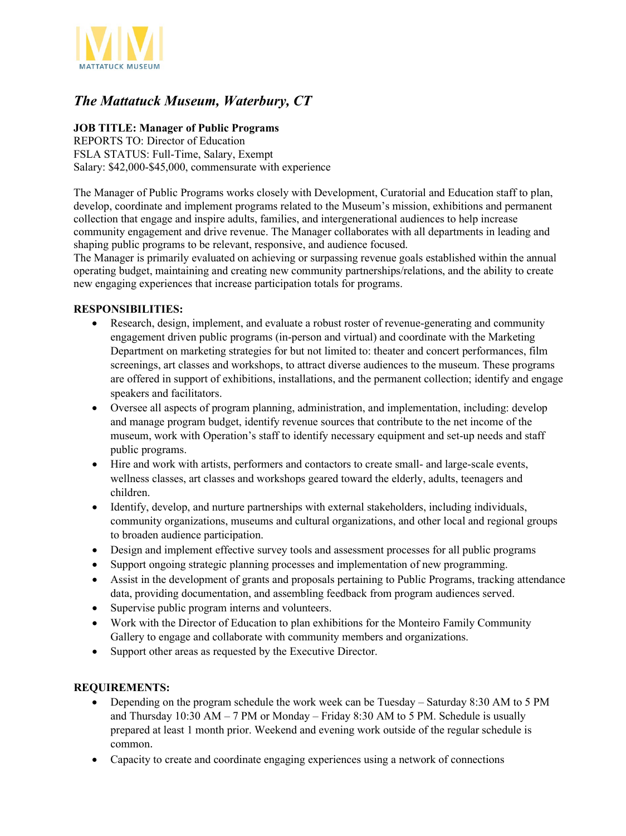

## *The Mattatuck Museum, Waterbury, CT*

## **JOB TITLE: Manager of Public Programs**

REPORTS TO: Director of Education FSLA STATUS: Full-Time, Salary, Exempt Salary: \$42,000-\$45,000, commensurate with experience

The Manager of Public Programs works closely with Development, Curatorial and Education staff to plan, develop, coordinate and implement programs related to the Museum's mission, exhibitions and permanent collection that engage and inspire adults, families, and intergenerational audiences to help increase community engagement and drive revenue. The Manager collaborates with all departments in leading and shaping public programs to be relevant, responsive, and audience focused.

The Manager is primarily evaluated on achieving or surpassing revenue goals established within the annual operating budget, maintaining and creating new community partnerships/relations, and the ability to create new engaging experiences that increase participation totals for programs.

## **RESPONSIBILITIES:**

- Research, design, implement, and evaluate a robust roster of revenue-generating and community engagement driven public programs (in-person and virtual) and coordinate with the Marketing Department on marketing strategies for but not limited to: theater and concert performances, film screenings, art classes and workshops, to attract diverse audiences to the museum. These programs are offered in support of exhibitions, installations, and the permanent collection; identify and engage speakers and facilitators.
- Oversee all aspects of program planning, administration, and implementation, including: develop and manage program budget, identify revenue sources that contribute to the net income of the museum, work with Operation's staff to identify necessary equipment and set-up needs and staff public programs.
- Hire and work with artists, performers and contactors to create small- and large-scale events, wellness classes, art classes and workshops geared toward the elderly, adults, teenagers and children.
- Identify, develop, and nurture partnerships with external stakeholders, including individuals, community organizations, museums and cultural organizations, and other local and regional groups to broaden audience participation.
- Design and implement effective survey tools and assessment processes for all public programs
- Support ongoing strategic planning processes and implementation of new programming.
- Assist in the development of grants and proposals pertaining to Public Programs, tracking attendance data, providing documentation, and assembling feedback from program audiences served.
- Supervise public program interns and volunteers.
- Work with the Director of Education to plan exhibitions for the Monteiro Family Community Gallery to engage and collaborate with community members and organizations.
- Support other areas as requested by the Executive Director.

## **REQUIREMENTS:**

- Depending on the program schedule the work week can be Tuesday Saturday 8:30 AM to 5 PM and Thursday  $10:30$  AM – 7 PM or Monday – Friday 8:30 AM to 5 PM. Schedule is usually prepared at least 1 month prior. Weekend and evening work outside of the regular schedule is common.
- Capacity to create and coordinate engaging experiences using a network of connections